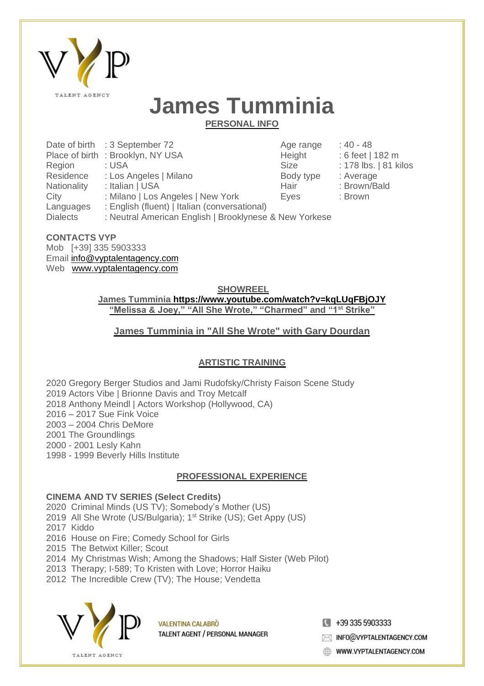

# **James Tumminia**

**PERSONAL INFO**

| Date of birth : 3 September 72                | Age range   | $: 40 - 48$                                            |
|-----------------------------------------------|-------------|--------------------------------------------------------|
| Place of birth: Brooklyn, NY USA              | Height      | : 6 feet   182 m                                       |
| : USA                                         | <b>Size</b> | : 178 lbs.   81 kilos                                  |
| : Los Angeles   Milano                        | Body type   | : Average                                              |
| : Italian   USA                               | Hair        | : Brown/Bald                                           |
| : Milano   Los Angeles   New York             | Eves        | : Brown                                                |
| : English (fluent)   Italian (conversational) |             |                                                        |
|                                               |             |                                                        |
|                                               |             | : Neutral American English   Brooklynese & New Yorkese |

### **CONTACTS VYP**

Mob [+39] 335 5903333 Email info@vyptalentagency.com Web [www.vyptalentagency.com](http://www.vyptalentagency.com/)

**SHOWREEL**

**James Tumminia <https://www.youtube.com/watch?v=kqLUqFBjOJY> "Melissa & Joey," "All She Wrote," "Charmed" and "1st Strike"**

### **James [Tumminia](https://www.youtube.com/watch?v=rRU1TyNV4bk) in "All She Wrote" with Gary Dourdan**

### **ARTISTIC TRAINING**

 Gregory Berger Studios and Jami Rudofsky/Christy Faison Scene Study Actors Vibe | Brionne Davis and Troy Metcalf Anthony Meindl | Actors Workshop (Hollywood, CA) – 2017 Sue Fink Voice – 2004 Chris DeMore The Groundlings - 2001 Lesly Kahn - 1999 Beverly Hills Institute

### **PROFESSIONAL EXPERIENCE**

### **CINEMA AND TV SERIES (Select Credits)**

2020 Criminal Minds (US TV); Somebody's Mother (US)

- 2019 All She Wrote (US/Bulgaria); 1<sup>st</sup> Strike (US); Get Appy (US)
- 2017 Kiddo
- 2016 House on Fire; Comedy School for Girls
- 2015 The Betwixt Killer; Scout
- 2014 My Christmas Wish; Among the Shadows; Half Sister (Web Pilot)
- 2013 Therapy; I-589; To Kristen with Love; Horror Haiku
- 2012 The Incredible Crew (TV); The House; Vendetta



**VALENTINA CALABRO** TALENT AGENT / PERSONAL MANAGER  $\blacksquare$  +39 335 5903333

MFO@VYPTALENTAGENCY.COM

WWW.VYPTALENTAGENCY.COM